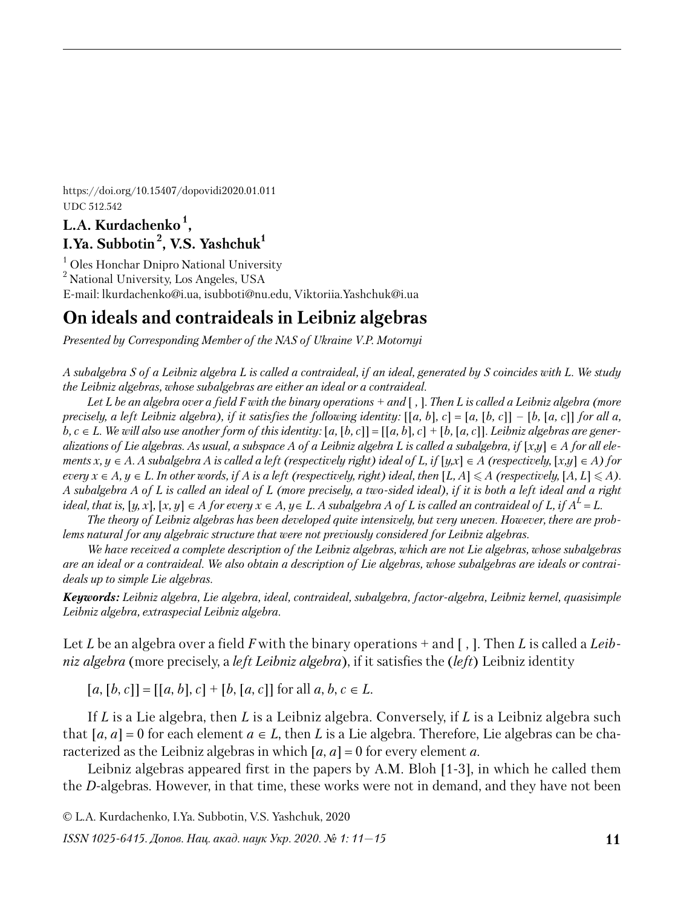https://doi.org/10.15407/dopovidi2020.01.011 UDC 512.542

# **L.A. Kurdachenko <sup>1</sup> , I.Ya. Subbotin <sup>2</sup> , V.S. Yashchuk<sup>1</sup>**

<sup>1</sup> Oles Honchar Dnipro National University <sup>2</sup> National University, Los Angeles, USA E-mail: lkurdachenko@i.ua, isubboti@nu.edu, Viktoriia.Yashchuk@i.ua

# **On ideals and contraideals in Leibniz algebras**

*Presented by Corresponding Member of the NAS of Ukraine V.P. Motornyi*

*A subalgebra S of a Leibniz algebra L is called a contraideal, if an ideal, generated by S coincides with L. We study the Leibniz algebras, whose subalgebras are either an ideal or a contraideal.* 

*Let L be an algebra over a field F with the binary operations + and* [ *,* ]*. Then L is called a Leibniz algebra (more precisely, a left Leibniz algebra), if it satisfies the following identity:*  $[[a, b], c] = [a, [b, c]] - [b, [a, c]]$  for all a, *b, c* ∈ *L.* We will also use another form of this identity: [a, [b, c]] = [[a, b], c] + [b, [a, c]]. Leibniz algebras are gener*alizations of Lie algebras. As usual, a subspace A of a Leibniz algebra L is called a subalgebra, if*  $[x,y] \in A$  *for all elements x, y* ∈ *A. A subalgebra A is called a left (respectively right) ideal of L, if*  $[y, x] \in A$  *(respectively,*  $[x, y] \in A$ *) for every*  $x \in A, y \in L$ . In other words, if A is a left (respectively, right) ideal, then  $[L, A] \leq A$  (respectively,  $[A, L] \leq A$ ). *A subalgebra A of L is called an ideal of L (more precisely, a two-sided ideal), if it is both a left ideal and a right*   $\{e_i\}$  ideal, that is,  $[y,x],\,[x,y]\in A$  for every  $x\in A, y\in L.$  A subalgebra A of  $L$  is called an contraideal of  $L,$  if  $A^L$  =  $L.$ 

*The theory of Leibniz algebras has been developed quite intensively, but very uneven. However, there are problems natural for any algebraic structure that were not previously considered for Leibniz algebras.*

*We have received a complete description of the Leibniz algebras, which are not Lie algebras, whose subalgebras are an ideal or a contraideal. We also obtain a description of Lie algebras, whose subalgebras are ideals or contraideals up to simple Lie algebras.*

*Keywords: Leibniz algebra, Lie algebra, ideal, contraideal, subalgebra, factor-algebra, Leibniz kernel, quasisimple Leibniz algebrа, extraspecial Leibniz algebra.*

Let *L* be an algebra over a field *F* with the binary operations + and [ , ]. Then *L* is called a *Leibniz algebra* (more precisely, a *left Leibniz algebra*), if it satisfies the (*left*) Leibniz identity

 $[a, [b, c]] = [[a, b], c] + [b, [a, c]]$  for all  $a, b, c \in L$ .

If *L* is a Lie algebra, then *L* is a Leibniz algebra. Conversely, if *L* is a Leibniz algebra such that  $[a, a] = 0$  for each element  $a \in L$ , then L is a Lie algebra. Therefore, Lie algebras can be characterized as the Leibniz algebras in which  $[a, a] = 0$  for every element a.

Leibniz algebras appeared first in the papers by A.M. Bloh [1-3], in which he called them the *D*-algebras. However, in that time, these works were not in demand, and they have not been

© L.A. Kurdachenko, I.Ya. Subbotin, V.S. Yashchuk, 2020

*ISSN 1025-6415. Допов. Нац. акад. наук Укр. 2020. № 1: 11—15*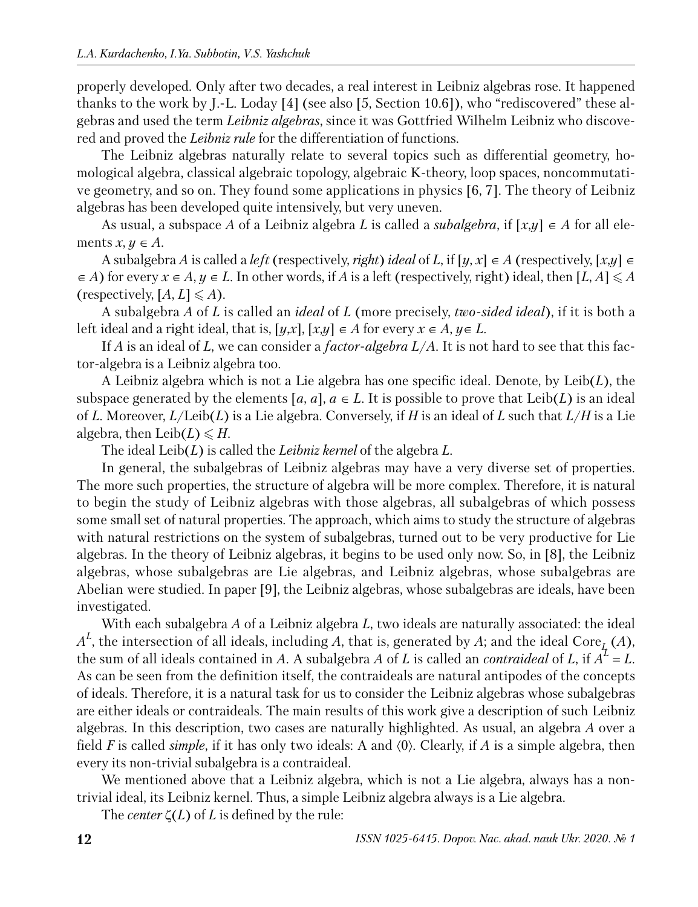properly developed. Only after two decades, a real interest in Leibniz algebras rose. It happened thanks to the work by J.-L. Loday [4] (see also [5, Section 10.6]), who "rediscovered" these algebras and used the term *Leibniz algebras*, since it was Gottfried Wilhelm Leibniz who discovered and proved the *Leibniz rule* for the differentiation of functions.

The Leibniz algebras naturally relate to several topics such as differential geometry, homological algebra, classical algebraic topology, algebraic K-theory, loop spaces, noncommutative geometry, and so on. They found some applications in physics [6, 7]. The theory of Leibniz algebras has been developed quite intensively, but very uneven.

As usual, a subspace *A* of a Leibniz algebra *L* is called a *subalgebra*, if [*x*,*y*] ∈ *A* for all elements  $x, y \in A$ .

A subalgebra *A* is called a *left* (respectively, *right*) *ideal* of *L*, if  $[y, x] \in A$  (respectively,  $[x, y] \in A$  $\in$  *A*) for every  $x \in A$ ,  $y \in L$ . In other words, if *A* is a left (respectively, right) ideal, then [*L*, *A*]  $\leq$  *A* (respectively,  $[A, L] \leq A$ ).

A subalgebra *A* of *L* is called an *ideal* of *L* (more precisely, *two-sided ideal*), if it is both a left ideal and a right ideal, that is,  $[y,x]$ ,  $[x,y] \in A$  for every  $x \in A$ ,  $y \in L$ .

If *A* is an ideal of *L*, we can consider a *factor-algebra L*/*A*. It is not hard to see that this factor-algebra is a Leibniz algebra too.

A Leibniz algebra which is not a Lie algebra has one specific ideal. Denote, by Leib(*L*), the subspace generated by the elements  $[a, a]$ ,  $a \in L$ . It is possible to prove that Leib(L) is an ideal of *L*. Moreover, *L*/Leib(*L*) is a Lie algebra. Conversely, if *H* is an ideal of *L* such that *L*/*H* is a Lie algebra, then Leib $(L) \leq H$ .

The ideal Leib(*L*) is called the *Leibniz kernel* of the algebra *L*.

In general, the subalgebras of Leibniz algebras may have a very diverse set of properties. The more such properties, the structure of algebra will be more complex. Therefore, it is natural to begin the study of Leibniz algebras with those algebras, all subalgebras of which possess some small set of natural properties. The approach, which aims to study the structure of algebras with natural restrictions on the system of subalgebras, turned out to be very productive for Lie algebras. In the theory of Leibniz algebras, it begins to be used only now. So, in [8], the Leibniz algebras, whose subalgebras are Lie algebras, and Leibniz algebras, whose subalgebras are Abelian were studied. In paper [9], the Leibniz algebras, whose subalgebras are ideals, have been investigated.

With each subalgebra *A* of a Leibniz algebra *L*, two ideals are naturally associated: the ideal  $A^L$ , the intersection of all ideals, including *A*, that is, generated by *A*; and the ideal Core<sub>*L*</sub> (*A*), the sum of all ideals contained in *A*. A subalgebra *A* of *L* is called an *contraideal* of *L*, if  $A^{\mathcal{I}} = L$ . As can be seen from the definition itself, the contraideals are natural antipodes of the concepts of ideals. Therefore, it is a natural task for us to consider the Leibniz algebras whose subalgebras are either ideals or contraideals. The main results of this work give a description of such Leibniz algebras. In this description, two cases are naturally highlighted. As usual, an algebra *A* over a field *F* is called *simple*, if it has only two ideals: A and 〈0〉. Clearly, if *A* is a simple algebra, then every its non-trivial subalgebra is a contraideal.

We mentioned above that a Leibniz algebra, which is not a Lie algebra, always has a nontrivial ideal, its Leibniz kernel. Thus, a simple Leibniz algebra always is a Lie algebra.

The *center*  $\zeta(L)$  of *L* is defined by the rule: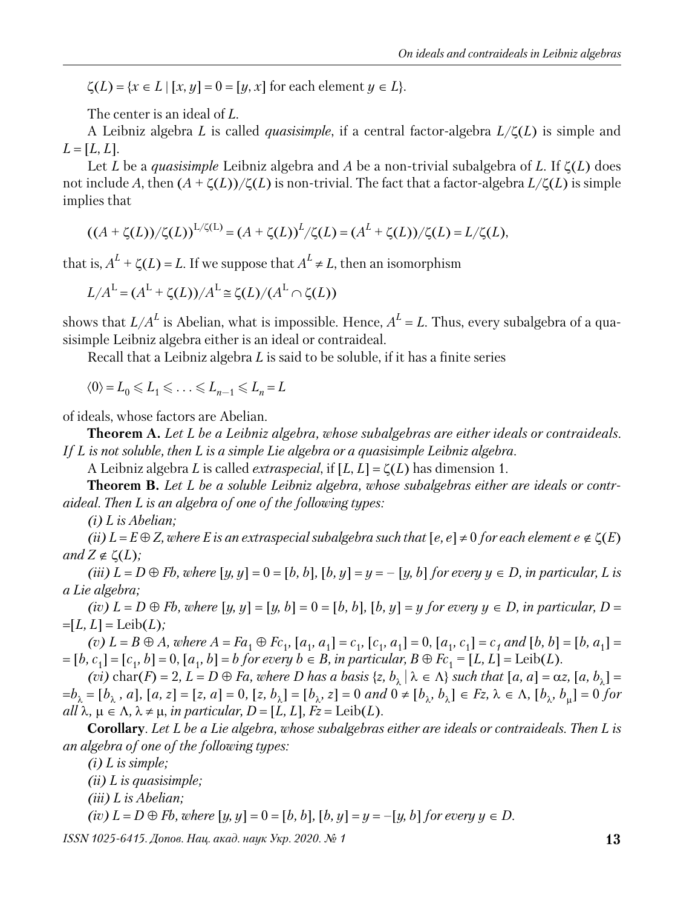$\zeta(L) = \{x \in L \mid [x, y] = 0 = [y, x] \text{ for each element } y \in L\}.$ 

The center is an ideal of *L*.

A Leibniz algebra *L* is called *quasisimple*, if a central factor-algebra *L*/ζ(*L*) is simple and  $L = [L, L]$ .

Let *L* be a *quasisimple* Leibniz algebra and *A* be a non-trivial subalgebra of *L*. If ζ(*L*) does not include *A*, then (*A* + ζ(*L*))/ζ(*L*) is non-trivial. The fact that a factor-algebra *L*/ζ(*L*) is simple implies that

$$
((A + \zeta(L))/\zeta(L))^{L/\zeta(L)} = (A + \zeta(L))^{L}/\zeta(L) = (A^{L} + \zeta(L))/\zeta(L) = L/\zeta(L),
$$

that is,  $A^L + \zeta(L) = L$ . If we suppose that  $A^L \neq L$ , then an isomorphism

$$
L/A^{L} = (A^{L} + \zeta(L))/A^{L} \cong \zeta(L)/(A^{L} \cap \zeta(L))
$$

shows that  $L/A^L$  is Abelian, what is impossible. Hence,  $A^L$  =  $L$ . Thus, every subalgebra of a quasisimple Leibniz algebra either is an ideal or contraideal.

Recall that a Leibniz algebra *L* is said to be soluble, if it has a finite series

 $\langle 0 \rangle = L_0 \leqslant L_1 \leqslant \ldots \leqslant L_{n-1} \leqslant L_n = L$ 

of ideals, whose factors are Abelian.

**Theorem A.** *Let L be a Leibniz algebra, whose subalgebras are either ideals or contraideals. If L is not soluble, then L is a simple Lie algebra or a quasisimple Leibniz algebra.*

A Leibniz algebra *L* is called *extraspecial*, if [*L*, *L*] = ζ(*L*) has dimension 1.

**Theorem B.** *Let L be a soluble Leibniz algebra, whose subalgebras either are ideals or contraideal. Then L is an algebra of one of the following types:*

*(i) L is Abelian;*

*(ii)*  $L = E \oplus Z$ , where E is an extraspecial subalgebra such that  $[e, e] \neq 0$  for each element  $e \notin \zeta(E)$ *and*  $Z \notin \zeta(L)$ *;* 

*(iii)*  $L = D ⊕ Fb$ *, where*  $[y, y] = 0 = [b, b]$ *,*  $[b, y] = y = -[y, b]$  *for every*  $y ∈ D$ *, in particular, L is a Lie algebra;*

*(iv)*  $L = D ⊕ Fb$ *, where*  $[y, y] = [y, b] = 0 = [b, b]$ *,*  $[b, y] = y$  *for every*  $y ∈ D$ *, in particular, D* =  $=[L, L] = \text{Leib}(L);$ 

(v)  $L = B \oplus A$ , where  $A = Fa_1 \oplus Fc_1$ ,  $[a_1, a_1] = c_1$ ,  $[c_1, a_1] = 0$ ,  $[a_1, c_1] = c_1$  and  $[b, b] = [b, a_1] =$  $[1, b, c_1] = [c_1, b] = 0, [a_1, b] = b$  for every  $b \in B$ , in particular,  $B \oplus Fc_1 = [L, L] = \text{Leib}(L)$ .

*(vi)*  $char(F) = 2$ ,  $L = D \oplus Fa$ , where D has a basis  $\{z, b_{\lambda} | \lambda \in \Lambda\}$  such that  $[a, a] = \alpha z$ ,  $[a, b_{\lambda}] =$  $=b_{\lambda} = [b_{\lambda}, a]$ ,  $[a, z] = [z, a] = 0$ ,  $[z, b_{\lambda}] = [b_{\lambda}, z] = 0$  and  $0 \neq [b_{\lambda}, b_{\lambda}] \in Fz$ ,  $\lambda \in \Lambda$ ,  $[b_{\lambda}, b_{\mu}] = 0$  for  $all \lambda, \mu \in \Lambda, \lambda \neq \mu, \text{ in particular, } D = [L, L], Fz = \text{Leib}(L).$ 

**Corollary**. *Let L be a Lie algebra, whose subalgebras either are ideals or contraideals. Then L is an algebra of one of the following types:*

*(i) L is simple;*

*(ii) L is quasisimple;*

*(iii) L is Abelian;*

*(iv)*  $L = D ⊕ Fb$ *, where* [*y, y*] = 0 = [*b, b*]*,* [*b, y*] = *y* = −[*y, b*] *for every y* ∈ *D.* 

*ISSN 1025-6415. Допов. Нац. акад. наук Укр. 2020. № 1* **13**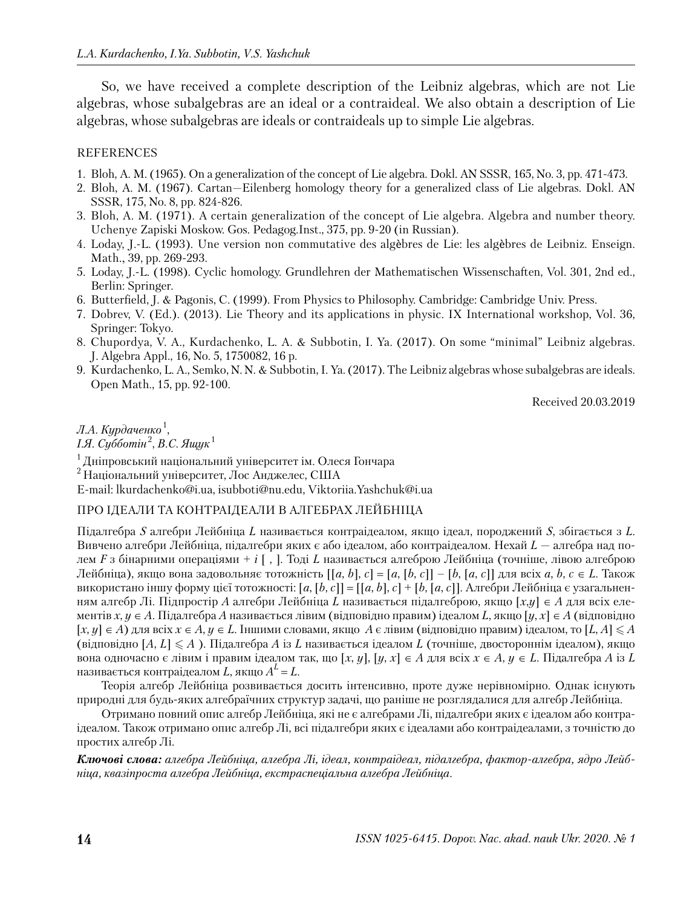So, we have received a complete description of the Leibniz algebras, which are not Lie al gebras, whose subalgebras are an ideal or a contraideal. We also obtain a description of Lie algebras, whose subalgebras are ideals or contraideals up to simple Lie algebras.

#### REFERENCES

- 1. Bloh, A. M. (1965). On a generalization of the concept of Lie algebra. Dokl. AN SSSR, 165, No. 3, pp. 471-473.
- 2. Bloh, A. M. (1967). Cartan—Eilenberg homology theory for a generalized class of Lie algebras. Dokl. AN SSSR, 175, No. 8, pp. 824-826.
- 3. Bloh, A. M. (1971). A certain generalization of the concept of Lie algebra. Algebra and number theory. Uchenye Zapiski Moskow. Gos. Pedagog.Inst., 375, pp. 9-20 (in Russian).
- 4. Loday, J.-L. (1993). Une version non commutative des algèbres de Lie: les algèbres de Leibniz. Enseign. Math., 39, pp. 269-293.
- 5. Loday, J.-L. (1998). Cyclic homology. Grundlehren der Mathematischen Wissenschaften, Vol. 301, 2nd ed., Berlin: Springer.
- 6. Butterfield, J. & Pagonis, C. (1999). From Physics to Philosophy. Cambridge: Cambridge Univ. Press.
- 7. Dobrev, V. (Ed.). (2013). Lie Theory and its applications in physic. IX International workshop, Vol. 36, Springer: Tokyo.
- 8. Chupordya, V. A., Kurdachenko, L. A. & Subbotin, I. Ya. (2017). On some "minimal" Leibniz algebras. J. Algebra Appl., 16, No. 5, 1750082, 16 p.
- 9. Kurdachenko, L. A., Semko, N. N. & Subbotin, I. Ya. (2017). The Leibniz algebras whose subalgebras are ideals. Open Math., 15, pp. 92-100.

Received 20.03.2019

## *Л.А. Курдаченко* <sup>1</sup> ,

*І.Я. Субботін* <sup>2</sup> , *В.С. Ящук* <sup>1</sup>

 $1$ Дніпровський національний університет ім. Олеся Гончара

<sup>2</sup>Національний університет, Лос Анджелес, США

E-mail: lkurdachenko@i.ua, isubboti@nu.edu, Viktoriia.Yashchuk@i.ua

#### ПРО ІДЕАЛИ ТА КОНТРАІДЕАЛИ В АЛГЕБРАХ ЛЕЙБНІЦА

Підалгебра *S* алгебри Лейбніца *L* називається контраідеалом, якщо ідеал, породжений *S*, збігається з *L*. Вивчено алгебри Лейбніца, підалгебри яких є або ідеалом, або контраідеалом. Нехай *L* — алгебра над полем *F* з бінарними операціями + *і* [, ]. Тоді *L* називається алгеброю Лейбніца (точніше, лівою алгеброю Лейбніца), якщо вона задовольняє тотожність [[*a*, *b*], *c*] = [*a*, [*b*, *c*]] – [*b*, [*a*, *c*]] для всіх *a*, *b*, *c* ∈ *L*. Також використано іншу форму цієї тотожності: [*a*, [*b*, *c*]] = [[*a*, *b*], *c*] + [*b*, [*a*, *c*]]. Алгебри Лейбніца є узагальненням алгебр Лі. Підпростір *A* алгебри Лейбніца *L* називається підалгеброю, якщо [*x*,*y*] ∈ *A* для всіх елемен тів *x*, *y* ∈ *A*. Підалгебра *A* називається лівим (відповідно правим) ідеалом *L*, якщо [*y*, *x*] ∈ *A* (відповідно [*x*, *y*] ∈ *A*) для всіх *x* ∈ *A*, *y* ∈ *L*. Іншими словами, якщо *A* є лівим (відповідно правим) ідеалом, то [*L*, *A*] *A* (відповідно [*A*, *L*] *A* ). Підалгебра *A* із *L* називається ідеалом *L* (точніше, двостороннім ідеалом), якщо вона одночасно є лівим і правим ідеалом так, що [*x*, *y*], [*y*, *x*] ∈ *A* для всіх *x* ∈ *A*, *y* ∈ *L*. Підалгебра *A* із *L* називається контраідеалом  $L$ , якщо  $A^L$  =  $L$ .

Теорія алгебр Лейбніца розвивається досить інтенсивно, проте дуже нерівномірно. Однак існують природні для будь-яких алгебраїчних структур задачі, що раніше не розглядалися для алгебр Лейбніца.

Отримано повний опис алгебр Лейбніца, які не є алгебрами Лі, підалгебри яких є ідеалом або контраідеалом. Також отримано опис алгебр Лі, всі підалгебри яких є ідеалами або контраідеалами, з точністю до простих алгебр Лі.

*Ключові слова: алгебра Лейбніца, алгебра Лі, ідеал, контраідеал, підалгебра, фактор-алгебра, ядро Лейбніца, квазіпроста алгебра Лейбніца, екстраспеціальна алгебра Лейбніца.*